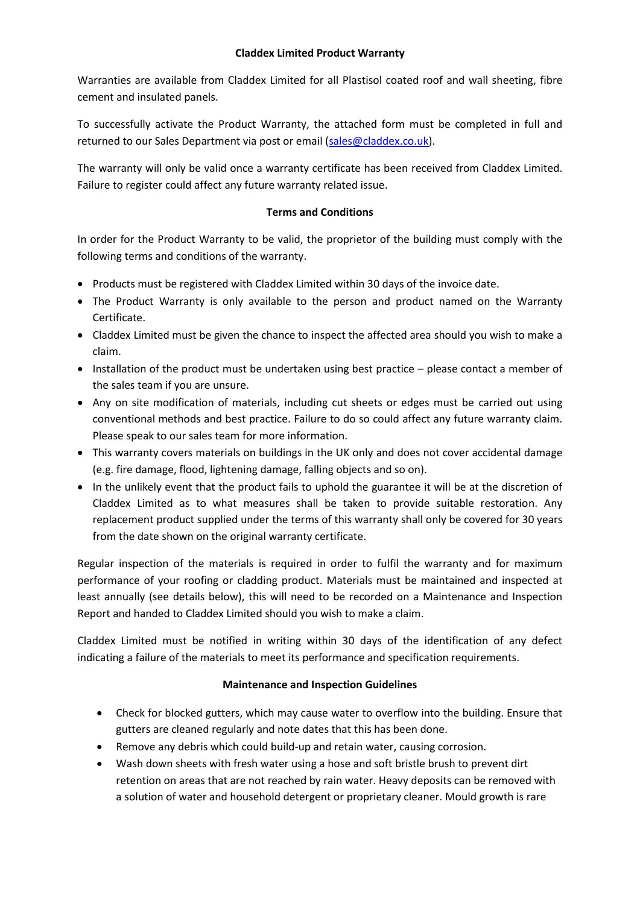## **Claddex Limited Product Warranty**

Warranties are available from Claddex Limited for all Plastisol coated roof and wall sheeting, fibre cement and insulated panels.

To successfully activate the Product Warranty, the attached form must be completed in full and returned to our Sales Department via post or email [\(sales@claddex.co.uk\)](mailto:sales@claddex.co.uk).

The warranty will only be valid once a warranty certificate has been received from Claddex Limited. Failure to register could affect any future warranty related issue.

### **Terms and Conditions**

In order for the Product Warranty to be valid, the proprietor of the building must comply with the following terms and conditions of the warranty.

- Products must be registered with Claddex Limited within 30 days of the invoice date.
- The Product Warranty is only available to the person and product named on the Warranty Certificate.
- Claddex Limited must be given the chance to inspect the affected area should you wish to make a claim.
- Installation of the product must be undertaken using best practice please contact a member of the sales team if you are unsure.
- Any on site modification of materials, including cut sheets or edges must be carried out using conventional methods and best practice. Failure to do so could affect any future warranty claim. Please speak to our sales team for more information.
- This warranty covers materials on buildings in the UK only and does not cover accidental damage (e.g. fire damage, flood, lightening damage, falling objects and so on).
- In the unlikely event that the product fails to uphold the guarantee it will be at the discretion of Claddex Limited as to what measures shall be taken to provide suitable restoration. Any replacement product supplied under the terms of this warranty shall only be covered for 30 years from the date shown on the original warranty certificate.

Regular inspection of the materials is required in order to fulfil the warranty and for maximum performance of your roofing or cladding product. Materials must be maintained and inspected at least annually (see details below), this will need to be recorded on a Maintenance and Inspection Report and handed to Claddex Limited should you wish to make a claim.

Claddex Limited must be notified in writing within 30 days of the identification of any defect indicating a failure of the materials to meet its performance and specification requirements.

# **Maintenance and Inspection Guidelines**

- Check for blocked gutters, which may cause water to overflow into the building. Ensure that gutters are cleaned regularly and note dates that this has been done.
- Remove any debris which could build-up and retain water, causing corrosion.
- Wash down sheets with fresh water using a hose and soft bristle brush to prevent dirt retention on areas that are not reached by rain water. Heavy deposits can be removed with a solution of water and household detergent or proprietary cleaner. Mould growth is rare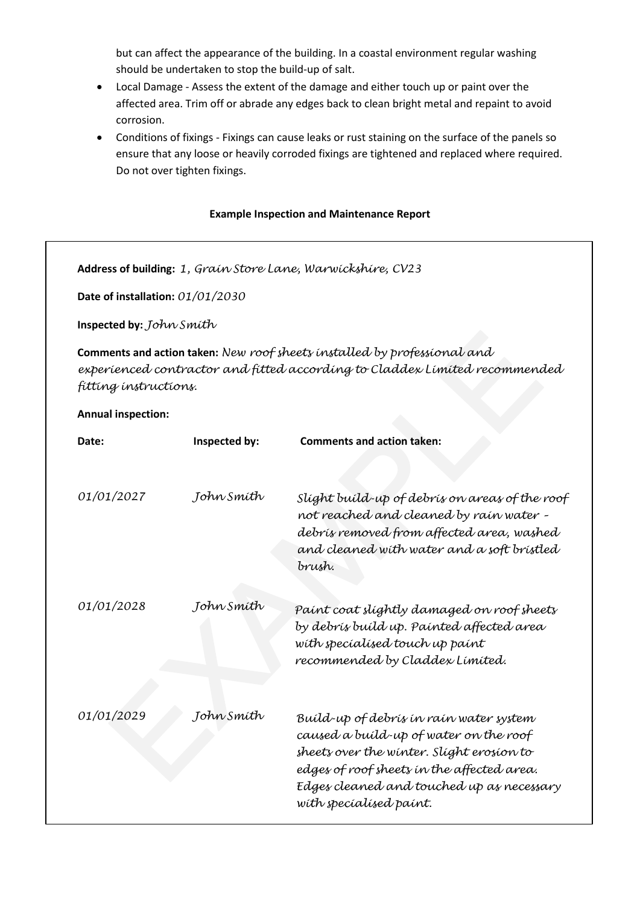but can affect the appearance of the building. In a coastal environment regular washing should be undertaken to stop the build-up of salt.

- Local Damage Assess the extent of the damage and either touch up or paint over the affected area. Trim off or abrade any edges back to clean bright metal and repaint to avoid corrosion.
- Conditions of fixings Fixings can cause leaks or rust staining on the surface of the panels so ensure that any loose or heavily corroded fixings are tightened and replaced where required. Do not over tighten fixings.

#### **Example Inspection and Maintenance Report**

|                                                                                                                                                                                                             | Date of installation: 01/01/2030 |                                                                                                                                                                                                                                                      |  |
|-------------------------------------------------------------------------------------------------------------------------------------------------------------------------------------------------------------|----------------------------------|------------------------------------------------------------------------------------------------------------------------------------------------------------------------------------------------------------------------------------------------------|--|
| Inspected by: John Smith<br>Comments and action taken: New roof sheets installed by professional and<br>experienced contractor and fitted according to Claddex Limited recommended<br>fitting instructions. |                                  |                                                                                                                                                                                                                                                      |  |
|                                                                                                                                                                                                             |                                  |                                                                                                                                                                                                                                                      |  |
| Date:                                                                                                                                                                                                       | Inspected by:                    | <b>Comments and action taken:</b>                                                                                                                                                                                                                    |  |
| 01/01/2027                                                                                                                                                                                                  | John Smíth                       | Slight build-up of debris on areas of the roof<br>not reached and cleaned by rain water -<br>debrís removed from affected area, washed<br>and cleaned with water and a soft bristled<br>brush.                                                       |  |
| 01/01/2028                                                                                                                                                                                                  | John Smíth                       | Paint coat slightly damaged on roof sheets<br>by debrís buíld up. Painted affected area<br>with specialised touch up paint<br>recommended by Claddex Limited.                                                                                        |  |
| 01/01/2029                                                                                                                                                                                                  | John Smíth                       | Build-up of debris in rain water system<br>caused a build-up of water on the roof<br>sheets over the winter. Slight erosion to<br>edges of roof sheets in the affected area.<br>Edges cleaned and touched up as necessary<br>with specialised paint. |  |